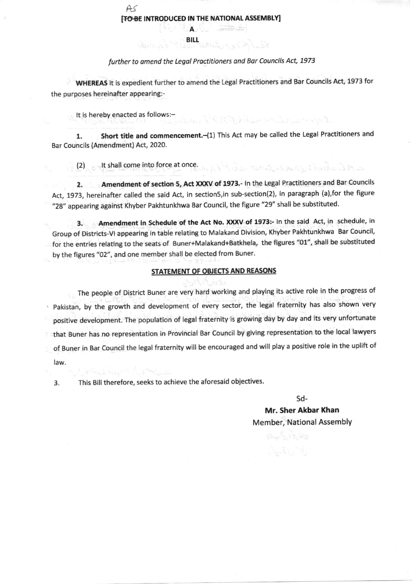A. **BILL** میں کا اس کا اس کا ایک ایک ا

## further to amend the Legal Practitioners and Bar Councils Act, 1973

WHEREAS it is expedient further to amend the Legal Practitioners and Bar Councils Act, 1973 for the purposes hereinafter appearing:-

It is hereby enacted as follows:-

 $AS$ 

1. Short title and commencement.-(1) This Act may be called the Legal Practitioners and Bar Councils (Amendment) Act, 2020.

Margaret Bank (ST)

(2) ent shall come into force at once. In the decided to the later of the later of the

2. Amendment of section 5, Act XXXV of 1973.- In the Legal Practitioners and Bar Councils Act, 1973, hereinafter called the said Act, in section5, in sub-section(2), in paragraph (a), for the figure "28" appearing against Khyber Pakhtunkhwa Bar Council, the figure "29" shall be substituted.

3. Amendment in Schedule of the Act No. XXXV of 1973:- In the said Act, in schedule, in Group of Districts-VI appearing in table relating to Malakand Division, Khyber Pakhtunkhwa Bar Council, for the entries relating to the seats of Buner+Malakand+Batkhela, the figures "01", shall be substituted by the figures "02", and one member shall be elected from Buner.

## STATEMENT OF OBJECTS AND REASONS

The people of District Buner are very hard working and playing its active role in the progress of . Pakistan, by the growth and development of every sector, the legal fraternity has also shown very positive development. The population of legal fraternity is growing day by day and its very unfortunate that Buner has no representation in Provincial Bar Council by giving representation to the local lawyers of Buner in Bar Council the legal fraternity will be encouraged and will play a positive role in the uplift of law.

3. This Bill therefore, seeks to achieve the aforesaid objectives.

sd-

Mr. Sher Akbar Khan Member, National Assembly

وتانه کے اگر فاق